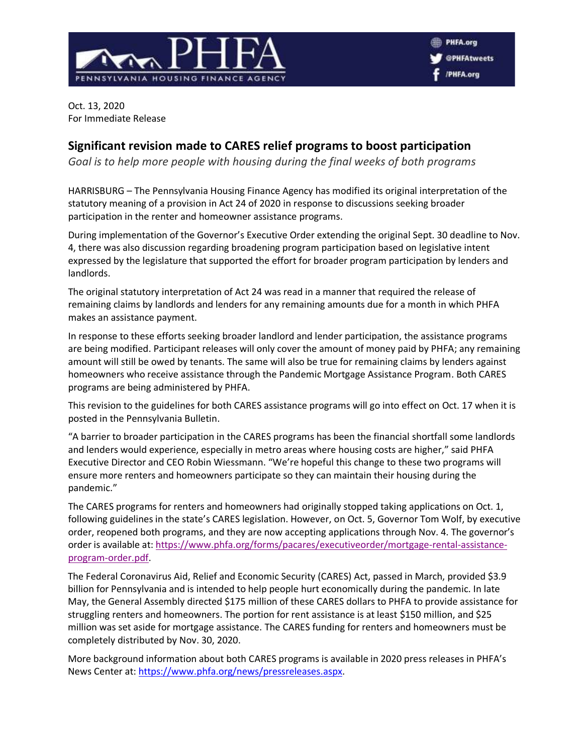

Oct. 13, 2020 For Immediate Release

## **Significant revision made to CARES relief programs to boost participation**

*Goal is to help more people with housing during the final weeks of both programs*

HARRISBURG – The Pennsylvania Housing Finance Agency has modified its original interpretation of the statutory meaning of a provision in Act 24 of 2020 in response to discussions seeking broader participation in the renter and homeowner assistance programs.

During implementation of the Governor's Executive Order extending the original Sept. 30 deadline to Nov. 4, there was also discussion regarding broadening program participation based on legislative intent expressed by the legislature that supported the effort for broader program participation by lenders and landlords.

The original statutory interpretation of Act 24 was read in a manner that required the release of remaining claims by landlords and lenders for any remaining amounts due for a month in which PHFA makes an assistance payment.

In response to these efforts seeking broader landlord and lender participation, the assistance programs are being modified. Participant releases will only cover the amount of money paid by PHFA; any remaining amount will still be owed by tenants. The same will also be true for remaining claims by lenders against homeowners who receive assistance through the Pandemic Mortgage Assistance Program. Both CARES programs are being administered by PHFA.

This revision to the guidelines for both CARES assistance programs will go into effect on Oct. 17 when it is posted in the Pennsylvania Bulletin.

"A barrier to broader participation in the CARES programs has been the financial shortfall some landlords and lenders would experience, especially in metro areas where housing costs are higher," said PHFA Executive Director and CEO Robin Wiessmann. "We're hopeful this change to these two programs will ensure more renters and homeowners participate so they can maintain their housing during the pandemic."

The CARES programs for renters and homeowners had originally stopped taking applications on Oct. 1, following guidelines in the state's CARES legislation. However, on Oct. 5, Governor Tom Wolf, by executive order, reopened both programs, and they are now accepting applications through Nov. 4. The governor's order is available at[: https://www.phfa.org/forms/pacares/executiveorder/mortgage-rental-assistance](https://www.phfa.org/forms/pacares/executiveorder/mortgage-rental-assistance-program-order.pdf)[program-order.pdf.](https://www.phfa.org/forms/pacares/executiveorder/mortgage-rental-assistance-program-order.pdf)

The Federal Coronavirus Aid, Relief and Economic Security (CARES) Act, passed in March, provided \$3.9 billion for Pennsylvania and is intended to help people hurt economically during the pandemic. In late May, the General Assembly directed \$175 million of these CARES dollars to PHFA to provide assistance for struggling renters and homeowners. The portion for rent assistance is at least \$150 million, and \$25 million was set aside for mortgage assistance. The CARES funding for renters and homeowners must be completely distributed by Nov. 30, 2020.

More background information about both CARES programs is available in 2020 press releases in PHFA's News Center at[: https://www.phfa.org/news/pressreleases.aspx.](https://www.phfa.org/news/pressreleases.aspx)